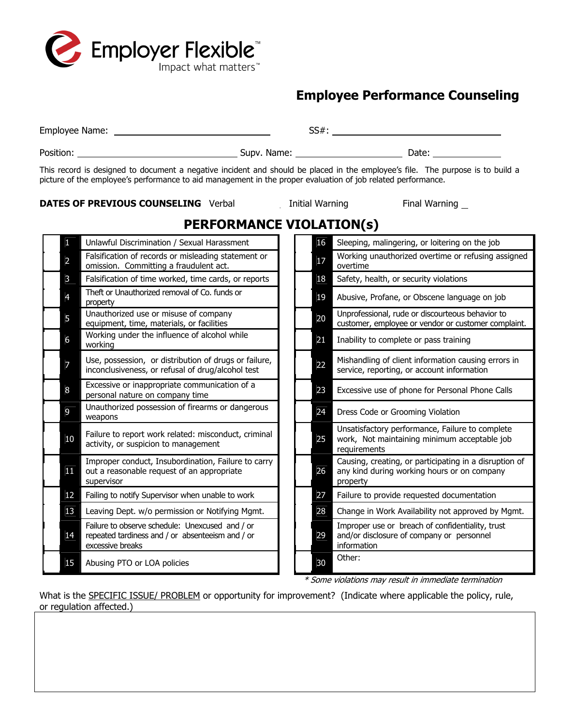

## **Employee Performance Counseling**

|  |                |                                                                                                                                                                                                                                                |  |  |    | $SS#$ :                                                                                                 |  |
|--|----------------|------------------------------------------------------------------------------------------------------------------------------------------------------------------------------------------------------------------------------------------------|--|--|----|---------------------------------------------------------------------------------------------------------|--|
|  |                |                                                                                                                                                                                                                                                |  |  |    |                                                                                                         |  |
|  |                | This record is designed to document a negative incident and should be placed in the employee's file. The purpose is to build a<br>picture of the employee's performance to aid management in the proper evaluation of job related performance. |  |  |    |                                                                                                         |  |
|  |                | <b>DATES OF PREVIOUS COUNSELING</b> Verbal __________ Initial Warning __________ Final Warning _                                                                                                                                               |  |  |    |                                                                                                         |  |
|  |                | <b>PERFORMANCE VIOLATION(s)</b>                                                                                                                                                                                                                |  |  |    |                                                                                                         |  |
|  |                | Unlawful Discrimination / Sexual Harassment                                                                                                                                                                                                    |  |  | 16 | Sleeping, malingering, or loitering on the job                                                          |  |
|  | $\overline{a}$ | Falsification of records or misleading statement or<br>omission. Committing a fraudulent act.                                                                                                                                                  |  |  | 17 | Working unauthorized overtime or refusing assigned<br>overtime                                          |  |
|  | 3              | Falsification of time worked, time cards, or reports                                                                                                                                                                                           |  |  | 18 | Safety, health, or security violations                                                                  |  |
|  | 4              | Theft or Unauthorized removal of Co. funds or<br>property                                                                                                                                                                                      |  |  | 19 | Abusive, Profane, or Obscene language on job                                                            |  |
|  | 5              | Unauthorized use or misuse of company<br>equipment, time, materials, or facilities                                                                                                                                                             |  |  | 20 | Unprofessional, rude or discourteous behavior to<br>customer, employee or vendor or customer complaint. |  |
|  | 6              | Working under the influence of alcohol while<br>working                                                                                                                                                                                        |  |  | 21 | Inability to complete or pass training                                                                  |  |
|  | 7              | Use, possession, or distribution of drugs or failure,<br>inconclusiveness, or refusal of drug/alcohol test                                                                                                                                     |  |  | 22 | Mishandling of client information causing errors in<br>service, reporting, or account information       |  |
|  |                |                                                                                                                                                                                                                                                |  |  |    |                                                                                                         |  |

| O  | working                                                                                                                 |    | 21 L | Thability to complete or pass training                                                                     |
|----|-------------------------------------------------------------------------------------------------------------------------|----|------|------------------------------------------------------------------------------------------------------------|
|    | Use, possession, or distribution of drugs or failure,<br>inconclusiveness, or refusal of drug/alcohol test              | 22 |      | Mishandling of client information causing err<br>service, reporting, or account information                |
| 8  | Excessive or inappropriate communication of a<br>personal nature on company time                                        | 23 |      | Excessive use of phone for Personal Phone (                                                                |
| 9  | Unauthorized possession of firearms or dangerous<br>weapons                                                             | 24 |      | Dress Code or Grooming Violation                                                                           |
| 10 | Failure to report work related: misconduct, criminal<br>activity, or suspicion to management                            | 25 |      | Unsatisfactory performance, Failure to comp<br>work, Not maintaining minimum acceptable<br>requirements    |
| 11 | Improper conduct, Insubordination, Failure to carry<br>out a reasonable request of an appropriate<br>supervisor         | 26 |      | Causing, creating, or participating in a disrup<br>any kind during working hours or on compar<br>property  |
| 12 | Failing to notify Supervisor when unable to work                                                                        | 27 |      | Failure to provide requested documentation                                                                 |
| 13 | Leaving Dept. w/o permission or Notifying Mgmt.                                                                         | 28 |      | Change in Work Availability not approved by                                                                |
| 14 | Failure to observe schedule: Unexcused and / or<br>repeated tardiness and / or absenteeism and / or<br>excessive breaks | 29 |      | Improper use or breach of confidentiality, tru<br>and/or disclosure of company or personnel<br>information |
| 15 | Abusing PTO or LOA policies                                                                                             | 30 |      | Other:                                                                                                     |

|    | omission. Commuting a tradudient act.                                                                                   |  |    | overume                                                                                                           |
|----|-------------------------------------------------------------------------------------------------------------------------|--|----|-------------------------------------------------------------------------------------------------------------------|
| 3  | Falsification of time worked, time cards, or reports                                                                    |  | 18 | Safety, health, or security violations                                                                            |
|    | Theft or Unauthorized removal of Co. funds or<br>property                                                               |  | 19 | Abusive, Profane, or Obscene language on job                                                                      |
| 5. | Unauthorized use or misuse of company<br>equipment, time, materials, or facilities                                      |  | 20 | Unprofessional, rude or discourteous behavior to<br>customer, employee or vendor or customer complaint.           |
| 6  | Working under the influence of alcohol while<br>working                                                                 |  | 21 | Inability to complete or pass training                                                                            |
|    | Use, possession, or distribution of drugs or failure,<br>inconclusiveness, or refusal of drug/alcohol test              |  | 22 | Mishandling of client information causing errors in<br>service, reporting, or account information                 |
| 8  | Excessive or inappropriate communication of a<br>personal nature on company time                                        |  | 23 | Excessive use of phone for Personal Phone Calls                                                                   |
| 9  | Unauthorized possession of firearms or dangerous<br>weapons                                                             |  | 24 | Dress Code or Grooming Violation                                                                                  |
| 10 | Failure to report work related: misconduct, criminal<br>activity, or suspicion to management                            |  | 25 | Unsatisfactory performance, Failure to complete<br>work, Not maintaining minimum acceptable job<br>requirements   |
| 11 | Improper conduct, Insubordination, Failure to carry<br>out a reasonable request of an appropriate<br>supervisor         |  | 26 | Causing, creating, or participating in a disruption of<br>any kind during working hours or on company<br>property |
| 12 | Failing to notify Supervisor when unable to work                                                                        |  | 27 | Failure to provide requested documentation                                                                        |
| 13 | Leaving Dept. w/o permission or Notifying Mgmt.                                                                         |  | 28 | Change in Work Availability not approved by Mgmt.                                                                 |
| 14 | Failure to observe schedule: Unexcused and / or<br>repeated tardiness and / or absenteeism and / or<br>excessive breaks |  | 29 | Improper use or breach of confidentiality, trust<br>and/or disclosure of company or personnel<br>information      |
| 15 | Abusing PTO or LOA policies                                                                                             |  | 30 | Other:                                                                                                            |

\* Some violations may result in immediate termination

What is the SPECIFIC ISSUE/ PROBLEM or opportunity for improvement? (Indicate where applicable the policy, rule, or regulation affected.)